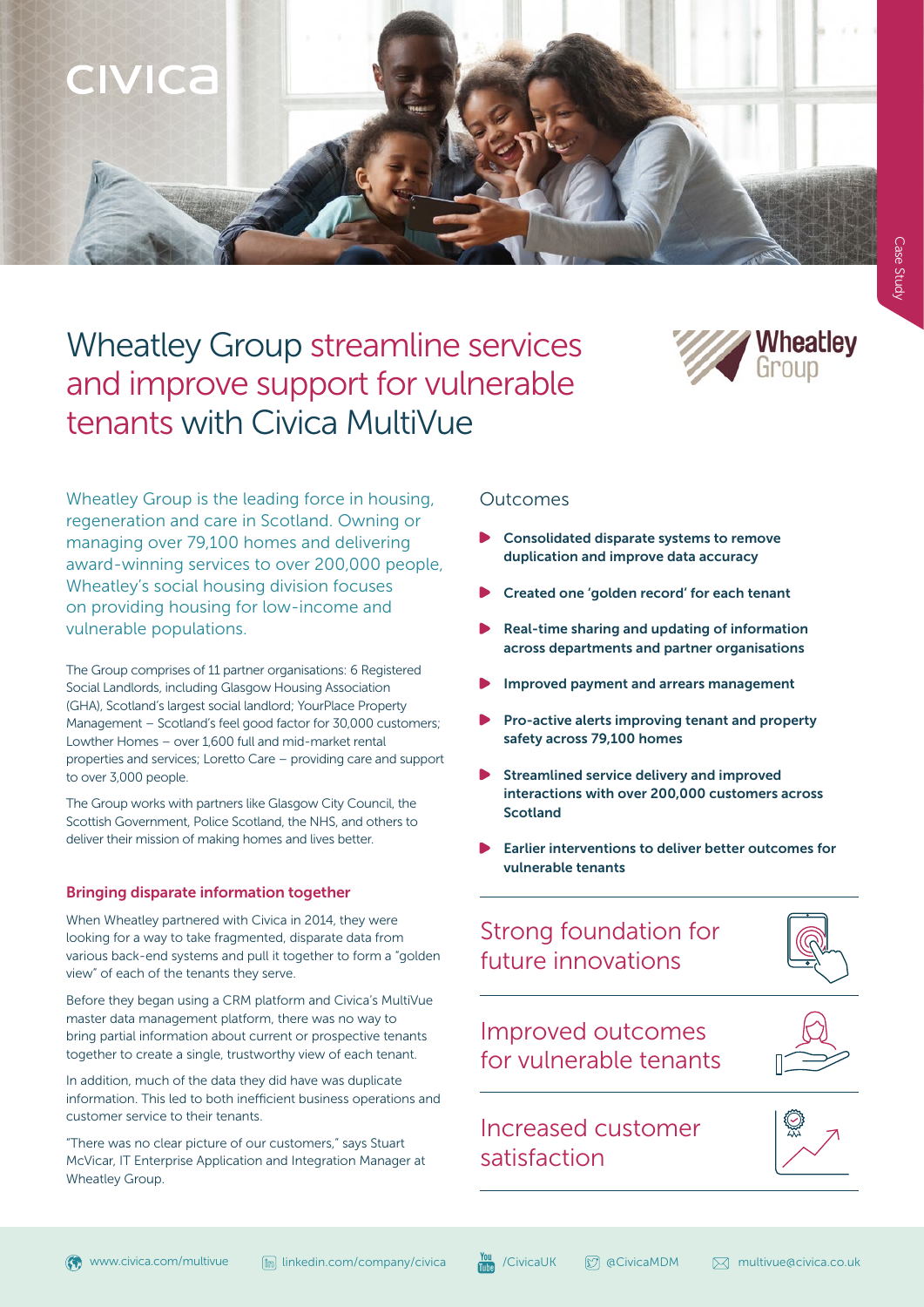

# Wheatley Group streamline services and improve support for vulnerable tenants with Civica MultiVue



Wheatley Group is the leading force in housing, regeneration and care in Scotland. Owning or managing over 79,100 homes and delivering award-winning services to over 200,000 people, Wheatley's social housing division focuses on providing housing for low-income and vulnerable populations.

The Group comprises of 11 partner organisations: 6 Registered Social Landlords, including Glasgow Housing Association (GHA), Scotland's largest social landlord; YourPlace Property Management – Scotland's feel good factor for 30,000 customers; Lowther Homes – over 1,600 full and mid-market rental properties and services; Loretto Care – providing care and support to over 3,000 people.

The Group works with partners like Glasgow City Council, the Scottish Government, Police Scotland, the NHS, and others to deliver their mission of making homes and lives better.

## Bringing disparate information together

When Wheatley partnered with Civica in 2014, they were looking for a way to take fragmented, disparate data from various back-end systems and pull it together to form a "golden view" of each of the tenants they serve.

Before they began using a CRM platform and Civica's MultiVue master data management platform, there was no way to bring partial information about current or prospective tenants together to create a single, trustworthy view of each tenant.

In addition, much of the data they did have was duplicate information. This led to both inefficient business operations and customer service to their tenants.

"There was no clear picture of our customers," says Stuart McVicar, IT Enterprise Application and Integration Manager at Wheatley Group.

## Outcomes

- Consolidated disparate systems to remove duplication and improve data accuracy
- Created one 'golden record' for each tenant
- Real-time sharing and updating of information across departments and partner organisations
- Improved payment and arrears management
- Pro-active alerts improving tenant and property safety across 79,100 homes
- Streamlined service delivery and improved interactions with over 200,000 customers across Scotland
- Earlier interventions to deliver better outcomes for vulnerable tenants

## Strong foundation for future innovations



Improved outcomes for vulnerable tenants

## Increased customer satisfaction